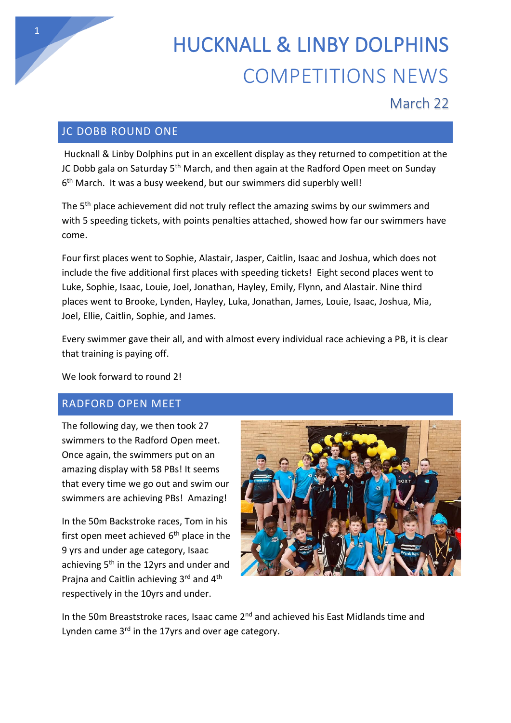

## March 22

## JC DOBB ROUND ONE

Hucknall & Linby Dolphins put in an excellent display as they returned to competition at the JC Dobb gala on Saturday 5<sup>th</sup> March, and then again at the Radford Open meet on Sunday 6<sup>th</sup> March. It was a busy weekend, but our swimmers did superbly well!

The 5<sup>th</sup> place achievement did not truly reflect the amazing swims by our swimmers and with 5 speeding tickets, with points penalties attached, showed how far our swimmers have come.

Four first places went to Sophie, Alastair, Jasper, Caitlin, Isaac and Joshua, which does not include the five additional first places with speeding tickets! Eight second places went to Luke, Sophie, Isaac, Louie, Joel, Jonathan, Hayley, Emily, Flynn, and Alastair. Nine third places went to Brooke, Lynden, Hayley, Luka, Jonathan, James, Louie, Isaac, Joshua, Mia, Joel, Ellie, Caitlin, Sophie, and James.

Every swimmer gave their all, and with almost every individual race achieving a PB, it is clear that training is paying off.

We look forward to round 2!

## RADFORD OPEN MEET

The following day, we then took 27 swimmers to the Radford Open meet. Once again, the swimmers put on an amazing display with 58 PBs! It seems that every time we go out and swim our swimmers are achieving PBs! Amazing!

In the 50m Backstroke races, Tom in his first open meet achieved  $6<sup>th</sup>$  place in the 9 yrs and under age category, Isaac achieving 5<sup>th</sup> in the 12yrs and under and Prajna and Caitlin achieving 3rd and 4<sup>th</sup> respectively in the 10yrs and under.



In the 50m Breaststroke races, Isaac came  $2<sup>nd</sup>$  and achieved his East Midlands time and Lynden came 3<sup>rd</sup> in the 17yrs and over age category.